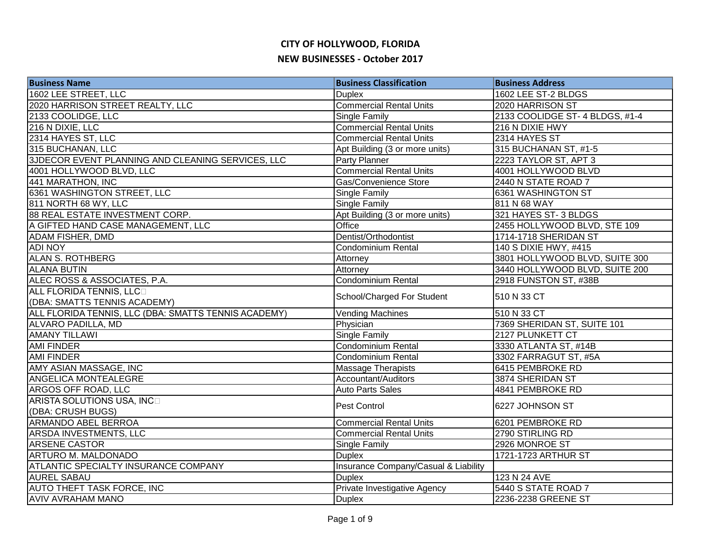| <b>Business Name</b>                                     | <b>Business Classification</b>       | <b>Business Address</b>         |
|----------------------------------------------------------|--------------------------------------|---------------------------------|
| 1602 LEE STREET, LLC                                     | <b>Duplex</b>                        | 1602 LEE ST-2 BLDGS             |
| 2020 HARRISON STREET REALTY, LLC                         | <b>Commercial Rental Units</b>       | 2020 HARRISON ST                |
| 2133 COOLIDGE, LLC                                       | Single Family                        | 2133 COOLIDGE ST- 4 BLDGS, #1-4 |
| 216 N DIXIE, LLC                                         | <b>Commercial Rental Units</b>       | 216 N DIXIE HWY                 |
| 2314 HAYES ST, LLC                                       | <b>Commercial Rental Units</b>       | 2314 HAYES ST                   |
| 315 BUCHANAN, LLC                                        | Apt Building (3 or more units)       | 315 BUCHANAN ST, #1-5           |
| <b>JUDECOR EVENT PLANNING AND CLEANING SERVICES, LLC</b> | Party Planner                        | 2223 TAYLOR ST, APT 3           |
| 4001 HOLLYWOOD BLVD, LLC                                 | <b>Commercial Rental Units</b>       | 4001 HOLLYWOOD BLVD             |
| 441 MARATHON, INC                                        | Gas/Convenience Store                | 2440 N STATE ROAD 7             |
| 6361 WASHINGTON STREET, LLC                              | Single Family                        | 6361 WASHINGTON ST              |
| 811 NORTH 68 WY, LLC                                     | Single Family                        | 811 N 68 WAY                    |
| 88 REAL ESTATE INVESTMENT CORP.                          | Apt Building (3 or more units)       | 321 HAYES ST-3 BLDGS            |
| A GIFTED HAND CASE MANAGEMENT, LLC                       | Office                               | 2455 HOLLYWOOD BLVD, STE 109    |
| <b>ADAM FISHER, DMD</b>                                  | Dentist/Orthodontist                 | 1714-1718 SHERIDAN ST           |
| <b>ADI NOY</b>                                           | Condominium Rental                   | 140 S DIXIE HWY, #415           |
| <b>ALAN S. ROTHBERG</b>                                  | Attorney                             | 3801 HOLLYWOOD BLVD, SUITE 300  |
| <b>ALANA BUTIN</b>                                       | Attorney                             | 3440 HOLLYWOOD BLVD, SUITE 200  |
| ALEC ROSS & ASSOCIATES, P.A.                             | Condominium Rental                   | 2918 FUNSTON ST, #38B           |
| ALL FLORIDA TENNIS, LLCO                                 | School/Charged For Student           | 510 N 33 CT                     |
| (DBA: SMATTS TENNIS ACADEMY)                             |                                      |                                 |
| ALL FLORIDA TENNIS, LLC (DBA: SMATTS TENNIS ACADEMY)     | Vending Machines                     | 510 N 33 CT                     |
| <b>ALVARO PADILLA, MD</b>                                | Physician                            | 7369 SHERIDAN ST, SUITE 101     |
| <b>AMANY TILLAWI</b>                                     | <b>Single Family</b>                 | 2127 PLUNKETT CT                |
| <b>AMI FINDER</b>                                        | <b>Condominium Rental</b>            | 3330 ATLANTA ST, #14B           |
| <b>AMI FINDER</b>                                        | Condominium Rental                   | 3302 FARRAGUT ST, #5A           |
| AMY ASIAN MASSAGE, INC                                   | <b>Massage Therapists</b>            | 6415 PEMBROKE RD                |
| <b>ANGELICA MONTEALEGRE</b>                              | Accountant/Auditors                  | 3874 SHERIDAN ST                |
| ARGOS OFF ROAD, LLC                                      | <b>Auto Parts Sales</b>              | 4841 PEMBROKE RD                |
| ARISTA SOLUTIONS USA, INCO                               | Pest Control                         | 6227 JOHNSON ST                 |
| (DBA: CRUSH BUGS)                                        |                                      |                                 |
| ARMANDO ABEL BERROA                                      | <b>Commercial Rental Units</b>       | 6201 PEMBROKE RD                |
| <b>ARSDA INVESTMENTS, LLC</b>                            | <b>Commercial Rental Units</b>       | 2790 STIRLING RD                |
| <b>ARSENE CASTOR</b>                                     | Single Family                        | 2926 MONROE ST                  |
| ARTURO M. MALDONADO                                      | <b>Duplex</b>                        | 1721-1723 ARTHUR ST             |
| <b>ATLANTIC SPECIALTY INSURANCE COMPANY</b>              | Insurance Company/Casual & Liability |                                 |
| <b>AUREL SABAU</b>                                       | <b>Duplex</b>                        | 123 N 24 AVE                    |
| <b>AUTO THEFT TASK FORCE, INC</b>                        | Private Investigative Agency         | 5440 S STATE ROAD 7             |
| <b>AVIV AVRAHAM MANO</b>                                 | <b>Duplex</b>                        | 2236-2238 GREENE ST             |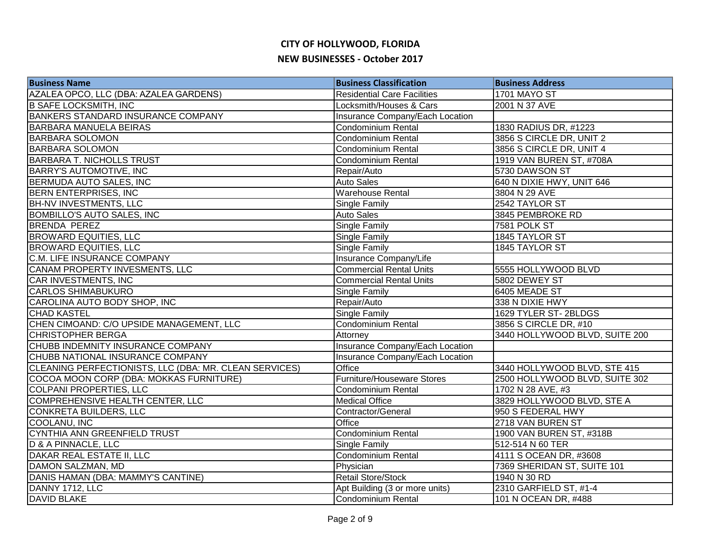| <b>Business Name</b>                                   | <b>Business Classification</b>     | <b>Business Address</b>        |
|--------------------------------------------------------|------------------------------------|--------------------------------|
| AZALEA OPCO, LLC (DBA: AZALEA GARDENS)                 | <b>Residential Care Facilities</b> | <b>1701 MAYO ST</b>            |
| <b>B SAFE LOCKSMITH, INC</b>                           | Locksmith/Houses & Cars            | 2001 N 37 AVE                  |
| <b>BANKERS STANDARD INSURANCE COMPANY</b>              | Insurance Company/Each Location    |                                |
| <b>BARBARA MANUELA BEIRAS</b>                          | <b>Condominium Rental</b>          | 1830 RADIUS DR, #1223          |
| <b>BARBARA SOLOMON</b>                                 | <b>Condominium Rental</b>          | 3856 S CIRCLE DR, UNIT 2       |
| <b>BARBARA SOLOMON</b>                                 | Condominium Rental                 | 3856 S CIRCLE DR, UNIT 4       |
| <b>BARBARA T. NICHOLLS TRUST</b>                       | Condominium Rental                 | 1919 VAN BUREN ST, #708A       |
| <b>BARRY'S AUTOMOTIVE, INC</b>                         | Repair/Auto                        | 5730 DAWSON ST                 |
| BERMUDA AUTO SALES, INC                                | <b>Auto Sales</b>                  | 640 N DIXIE HWY, UNIT 646      |
| <b>BERN ENTERPRISES, INC</b>                           | <b>Warehouse Rental</b>            | 3804 N 29 AVE                  |
| <b>BH-NV INVESTMENTS, LLC</b>                          | Single Family                      | 2542 TAYLOR ST                 |
| <b>BOMBILLO'S AUTO SALES, INC</b>                      | <b>Auto Sales</b>                  | 3845 PEMBROKE RD               |
| <b>BRENDA PEREZ</b>                                    | Single Family                      | 7581 POLK ST                   |
| <b>BROWARD EQUITIES, LLC</b>                           | Single Family                      | 1845 TAYLOR ST                 |
| <b>BROWARD EQUITIES, LLC</b>                           | Single Family                      | 1845 TAYLOR ST                 |
| C.M. LIFE INSURANCE COMPANY                            | Insurance Company/Life             |                                |
| CANAM PROPERTY INVESMENTS, LLC                         | <b>Commercial Rental Units</b>     | 5555 HOLLYWOOD BLVD            |
| CAR INVESTMENTS, INC                                   | <b>Commercial Rental Units</b>     | 5802 DEWEY ST                  |
| <b>CARLOS SHIMABUKURO</b>                              | Single Family                      | 6405 MEADE ST                  |
| CAROLINA AUTO BODY SHOP, INC                           | Repair/Auto                        | 338 N DIXIE HWY                |
| <b>CHAD KASTEL</b>                                     | Single Family                      | 1629 TYLER ST-2BLDGS           |
| CHEN CIMOAND: C/O UPSIDE MANAGEMENT, LLC               | Condominium Rental                 | 3856 S CIRCLE DR, #10          |
| <b>CHRISTOPHER BERGA</b>                               | Attorney                           | 3440 HOLLYWOOD BLVD, SUITE 200 |
| CHUBB INDEMNITY INSURANCE COMPANY                      | Insurance Company/Each Location    |                                |
| CHUBB NATIONAL INSURANCE COMPANY                       | Insurance Company/Each Location    |                                |
| CLEANING PERFECTIONISTS, LLC (DBA: MR. CLEAN SERVICES) | Office                             | 3440 HOLLYWOOD BLVD, STE 415   |
| COCOA MOON CORP (DBA: MOKKAS FURNITURE)                | <b>Furniture/Houseware Stores</b>  | 2500 HOLLYWOOD BLVD, SUITE 302 |
| <b>COLPANI PROPERTIES, LLC</b>                         | <b>Condominium Rental</b>          | 1702 N 28 AVE, #3              |
| COMPREHENSIVE HEALTH CENTER, LLC                       | <b>Medical Office</b>              | 3829 HOLLYWOOD BLVD, STE A     |
| CONKRETA BUILDERS, LLC                                 | Contractor/General                 | 950 S FEDERAL HWY              |
| COOLANU, INC                                           | Office                             | 2718 VAN BUREN ST              |
| CYNTHIA ANN GREENFIELD TRUST                           | <b>Condominium Rental</b>          | 1900 VAN BUREN ST, #318B       |
| D & A PINNACLE, LLC                                    | Single Family                      | 512-514 N 60 TER               |
| DAKAR REAL ESTATE II, LLC                              | Condominium Rental                 | 4111 S OCEAN DR, #3608         |
| DAMON SALZMAN, MD                                      | Physician                          | 7369 SHERIDAN ST, SUITE 101    |
| DANIS HAMAN (DBA: MAMMY'S CANTINE)                     | <b>Retail Store/Stock</b>          | 1940 N 30 RD                   |
| DANNY 1712, LLC                                        | Apt Building (3 or more units)     | 2310 GARFIELD ST, #1-4         |
| <b>DAVID BLAKE</b>                                     | <b>Condominium Rental</b>          | 101 N OCEAN DR, #488           |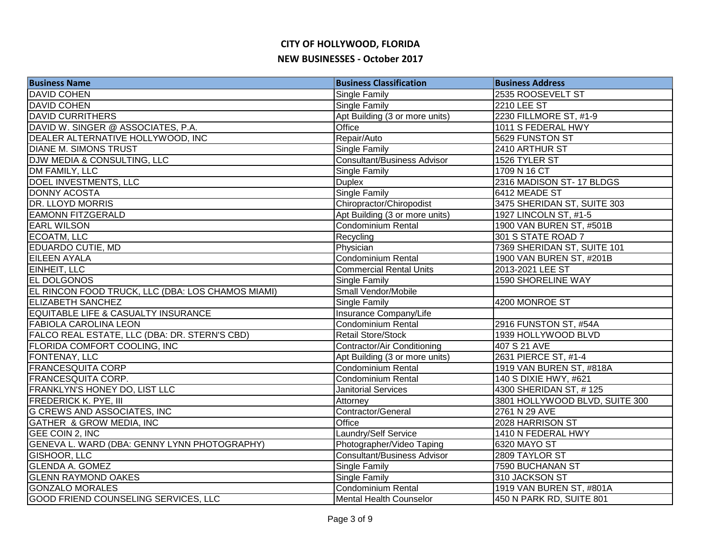| <b>Business Name</b>                              | <b>Business Classification</b>     | <b>Business Address</b>        |
|---------------------------------------------------|------------------------------------|--------------------------------|
| <b>DAVID COHEN</b>                                | Single Family                      | 2535 ROOSEVELT ST              |
| <b>DAVID COHEN</b>                                | Single Family                      | <b>2210 LEE ST</b>             |
| <b>DAVID CURRITHERS</b>                           | Apt Building (3 or more units)     | 2230 FILLMORE ST, #1-9         |
| DAVID W. SINGER @ ASSOCIATES, P.A.                | Office                             | 1011 S FEDERAL HWY             |
| DEALER ALTERNATIVE HOLLYWOOD, INC                 | Repair/Auto                        | 5629 FUNSTON ST                |
| <b>DIANE M. SIMONS TRUST</b>                      | <b>Single Family</b>               | 2410 ARTHUR ST                 |
| <b>DJW MEDIA &amp; CONSULTING, LLC</b>            | <b>Consultant/Business Advisor</b> | 1526 TYLER ST                  |
| <b>DM FAMILY, LLC</b>                             | Single Family                      | 1709 N 16 CT                   |
| DOEL INVESTMENTS, LLC                             | <b>Duplex</b>                      | 2316 MADISON ST-17 BLDGS       |
| <b>DONNY ACOSTA</b>                               | <b>Single Family</b>               | 6412 MEADE ST                  |
| DR. LLOYD MORRIS                                  | Chiropractor/Chiropodist           | 3475 SHERIDAN ST, SUITE 303    |
| <b>EAMONN FITZGERALD</b>                          | Apt Building (3 or more units)     | 1927 LINCOLN ST, #1-5          |
| <b>EARL WILSON</b>                                | Condominium Rental                 | 1900 VAN BUREN ST, #501B       |
| ECOATM, LLC                                       | Recycling                          | 301 S STATE ROAD 7             |
| <b>EDUARDO CUTIE, MD</b>                          | Physician                          | 7369 SHERIDAN ST, SUITE 101    |
| <b>EILEEN AYALA</b>                               | Condominium Rental                 | 1900 VAN BUREN ST, #201B       |
| EINHEIT, LLC                                      | <b>Commercial Rental Units</b>     | 2013-2021 LEE ST               |
| <b>EL DOLGONOS</b>                                | Single Family                      | 1590 SHORELINE WAY             |
| EL RINCON FOOD TRUCK, LLC (DBA: LOS CHAMOS MIAMI) | Small Vendor/Mobile                |                                |
| <b>ELIZABETH SANCHEZ</b>                          | Single Family                      | 4200 MONROE ST                 |
| EQUITABLE LIFE & CASUALTY INSURANCE               | Insurance Company/Life             |                                |
| <b>FABIOLA CAROLINA LEON</b>                      | Condominium Rental                 | 2916 FUNSTON ST, #54A          |
| FALCO REAL ESTATE, LLC (DBA: DR. STERN'S CBD)     | <b>Retail Store/Stock</b>          | 1939 HOLLYWOOD BLVD            |
| <b>FLORIDA COMFORT COOLING, INC</b>               | Contractor/Air Conditioning        | 407 S 21 AVE                   |
| <b>FONTENAY, LLC</b>                              | Apt Building (3 or more units)     | 2631 PIERCE ST, #1-4           |
| <b>FRANCESQUITA CORP</b>                          | Condominium Rental                 | 1919 VAN BUREN ST, #818A       |
| <b>FRANCESQUITA CORP.</b>                         | Condominium Rental                 | 140 S DIXIE HWY, #621          |
| FRANKLYN'S HONEY DO, LIST LLC                     | <b>Janitorial Services</b>         | 4300 SHERIDAN ST, #125         |
| <b>FREDERICK K. PYE, III</b>                      | Attorney                           | 3801 HOLLYWOOD BLVD, SUITE 300 |
| <b>G CREWS AND ASSOCIATES, INC</b>                | Contractor/General                 | 2761 N 29 AVE                  |
| <b>GATHER &amp; GROW MEDIA, INC</b>               | Office                             | 2028 HARRISON ST               |
| GEE COIN 2, INC                                   | Laundry/Self Service               | 1410 N FEDERAL HWY             |
| GENEVA L. WARD (DBA: GENNY LYNN PHOTOGRAPHY)      | Photographer/Video Taping          | 6320 MAYO ST                   |
| GISHOOR, LLC                                      | <b>Consultant/Business Advisor</b> | 2809 TAYLOR ST                 |
| <b>GLENDA A. GOMEZ</b>                            | <b>Single Family</b>               | 7590 BUCHANAN ST               |
| <b>GLENN RAYMOND OAKES</b>                        | <b>Single Family</b>               | 310 JACKSON ST                 |
| <b>GONZALO MORALES</b>                            | Condominium Rental                 | 1919 VAN BUREN ST, #801A       |
| GOOD FRIEND COUNSELING SERVICES, LLC              | <b>Mental Health Counselor</b>     | 450 N PARK RD, SUITE 801       |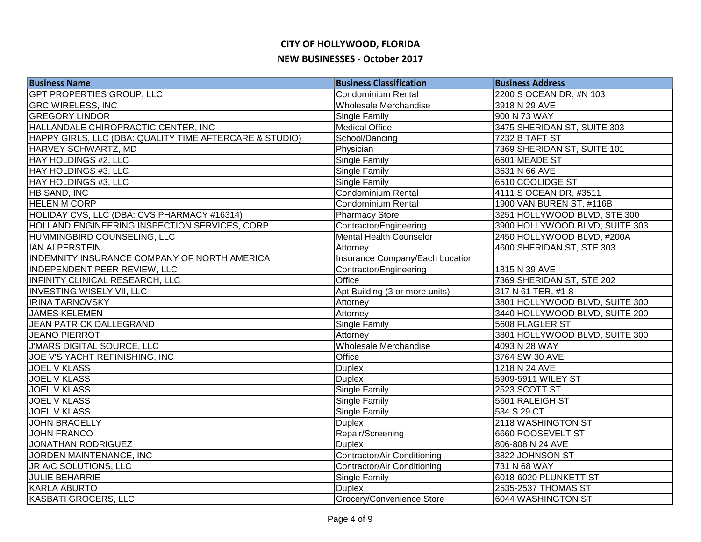| <b>Business Name</b>                                    | <b>Business Classification</b>  | <b>Business Address</b>        |
|---------------------------------------------------------|---------------------------------|--------------------------------|
| <b>GPT PROPERTIES GROUP, LLC</b>                        | <b>Condominium Rental</b>       | 2200 S OCEAN DR, #N 103        |
| <b>GRC WIRELESS, INC</b>                                | Wholesale Merchandise           | 3918 N 29 AVE                  |
| <b>GREGORY LINDOR</b>                                   | Single Family                   | 900 N 73 WAY                   |
| HALLANDALE CHIROPRACTIC CENTER, INC                     | <b>Medical Office</b>           | 3475 SHERIDAN ST, SUITE 303    |
| HAPPY GIRLS, LLC (DBA: QUALITY TIME AFTERCARE & STUDIO) | School/Dancing                  | 7232 B TAFT ST                 |
| HARVEY SCHWARTZ, MD                                     | Physician                       | 7369 SHERIDAN ST, SUITE 101    |
| HAY HOLDINGS #2, LLC                                    | Single Family                   | 6601 MEADE ST                  |
| HAY HOLDINGS #3, LLC                                    | Single Family                   | 3631 N 66 AVE                  |
| HAY HOLDINGS #3, LLC                                    | Single Family                   | 6510 COOLIDGE ST               |
| HB SAND, INC                                            | <b>Condominium Rental</b>       | 4111 S OCEAN DR, #3511         |
| <b>HELEN M CORP</b>                                     | <b>Condominium Rental</b>       | 1900 VAN BUREN ST, #116B       |
| HOLIDAY CVS, LLC (DBA: CVS PHARMACY #16314)             | <b>Pharmacy Store</b>           | 3251 HOLLYWOOD BLVD, STE 300   |
| HOLLAND ENGINEERING INSPECTION SERVICES, CORP           | Contractor/Engineering          | 3900 HOLLYWOOD BLVD, SUITE 303 |
| HUMMINGBIRD COUNSELING, LLC                             | <b>Mental Health Counselor</b>  | 2450 HOLLYWOOD BLVD, #200A     |
| <b>IAN ALPERSTEIN</b>                                   | Attorney                        | 4600 SHERIDAN ST, STE 303      |
| INDEMNITY INSURANCE COMPANY OF NORTH AMERICA            | Insurance Company/Each Location |                                |
| INDEPENDENT PEER REVIEW, LLC                            | Contractor/Engineering          | 1815 N 39 AVE                  |
| INFINITY CLINICAL RESEARCH, LLC                         | Office                          | 7369 SHERIDAN ST, STE 202      |
| <b>INVESTING WISELY VII, LLC</b>                        | Apt Building (3 or more units)  | 317 N 61 TER, #1-8             |
| <b>IRINA TARNOVSKY</b>                                  | Attorney                        | 3801 HOLLYWOOD BLVD, SUITE 300 |
| <b>JAMES KELEMEN</b>                                    | Attorney                        | 3440 HOLLYWOOD BLVD, SUITE 200 |
| <b>JEAN PATRICK DALLEGRAND</b>                          | <b>Single Family</b>            | 5608 FLAGLER ST                |
| <b>JEANO PIERROT</b>                                    | Attorney                        | 3801 HOLLYWOOD BLVD, SUITE 300 |
| <b>J'MARS DIGITAL SOURCE, LLC</b>                       | Wholesale Merchandise           | 4093 N 28 WAY                  |
| JOE V'S YACHT REFINISHING, INC                          | Office                          | 3764 SW 30 AVE                 |
| <b>JOEL V KLASS</b>                                     | <b>Duplex</b>                   | 1218 N 24 AVE                  |
| <b>JOEL V KLASS</b>                                     | <b>Duplex</b>                   | 5909-5911 WILEY ST             |
| <b>JOEL V KLASS</b>                                     | <b>Single Family</b>            | 2523 SCOTT ST                  |
| <b>JOEL V KLASS</b>                                     | Single Family                   | 5601 RALEIGH ST                |
| <b>JOEL V KLASS</b>                                     | Single Family                   | 534 S 29 CT                    |
| <b>JOHN BRACELLY</b>                                    | <b>Duplex</b>                   | 2118 WASHINGTON ST             |
| <b>JOHN FRANCO</b>                                      | Repair/Screening                | 6660 ROOSEVELT ST              |
| JONATHAN RODRIGUEZ                                      | <b>Duplex</b>                   | 806-808 N 24 AVE               |
| JORDEN MAINTENANCE, INC                                 | Contractor/Air Conditioning     | 3822 JOHNSON ST                |
| JR A/C SOLUTIONS, LLC                                   | Contractor/Air Conditioning     | 731 N 68 WAY                   |
| <b>JULIE BEHARRIE</b>                                   | Single Family                   | 6018-6020 PLUNKETT ST          |
| <b>KARLA ABURTO</b>                                     | <b>Duplex</b>                   | 2535-2537 THOMAS ST            |
| KASBATI GROCERS, LLC                                    | Grocery/Convenience Store       | 6044 WASHINGTON ST             |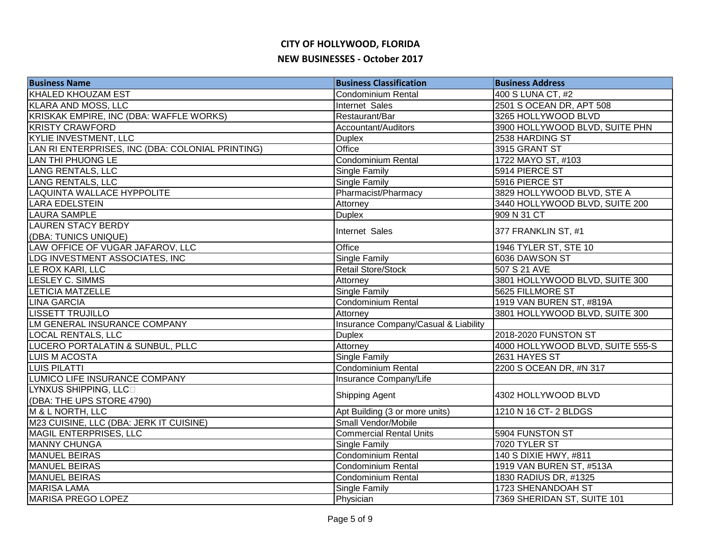| <b>Business Name</b>                             | <b>Business Classification</b>       | <b>Business Address</b>          |
|--------------------------------------------------|--------------------------------------|----------------------------------|
| <b>KHALED KHOUZAM EST</b>                        | <b>Condominium Rental</b>            | 400 S LUNA CT, #2                |
| <b>KLARA AND MOSS, LLC</b>                       | Internet Sales                       | 2501 S OCEAN DR, APT 508         |
| KRISKAK EMPIRE, INC (DBA: WAFFLE WORKS)          | Restaurant/Bar                       | 3265 HOLLYWOOD BLVD              |
| <b>KRISTY CRAWFORD</b>                           | Accountant/Auditors                  | 3900 HOLLYWOOD BLVD, SUITE PHN   |
| <b>KYLIE INVESTMENT, LLC</b>                     | <b>Duplex</b>                        | 2538 HARDING ST                  |
| LAN RI ENTERPRISES, INC (DBA: COLONIAL PRINTING) | Office                               | 3915 GRANT ST                    |
| <b>LAN THI PHUONG LE</b>                         | Condominium Rental                   | 1722 MAYO ST, #103               |
| LANG RENTALS, LLC                                | Single Family                        | 5914 PIERCE ST                   |
| LANG RENTALS, LLC                                | <b>Single Family</b>                 | 5916 PIERCE ST                   |
| <b>LAQUINTA WALLACE HYPPOLITE</b>                | Pharmacist/Pharmacy                  | 3829 HOLLYWOOD BLVD, STE A       |
| <b>LARA EDELSTEIN</b>                            | Attorney                             | 3440 HOLLYWOOD BLVD, SUITE 200   |
| <b>LAURA SAMPLE</b>                              | <b>Duplex</b>                        | 909 N 31 CT                      |
| <b>LAUREN STACY BERDY</b>                        | Internet Sales                       | 377 FRANKLIN ST, #1              |
| (DBA: TUNICS UNIQUE)                             |                                      |                                  |
| LAW OFFICE OF VUGAR JAFAROV, LLC                 | Office                               | 1946 TYLER ST, STE 10            |
| LDG INVESTMENT ASSOCIATES, INC                   | <b>Single Family</b>                 | 6036 DAWSON ST                   |
| LE ROX KARI, LLC                                 | <b>Retail Store/Stock</b>            | 507 S 21 AVE                     |
| LESLEY C. SIMMS                                  | Attorney                             | 3801 HOLLYWOOD BLVD, SUITE 300   |
| <b>LETICIA MATZELLE</b>                          | <b>Single Family</b>                 | 5625 FILLMORE ST                 |
| <b>LINA GARCIA</b>                               | <b>Condominium Rental</b>            | 1919 VAN BUREN ST, #819A         |
| <b>LISSETT TRUJILLO</b>                          | Attorney                             | 3801 HOLLYWOOD BLVD, SUITE 300   |
| <b>LM GENERAL INSURANCE COMPANY</b>              | Insurance Company/Casual & Liability |                                  |
| <b>LOCAL RENTALS, LLC</b>                        | <b>Duplex</b>                        | 2018-2020 FUNSTON ST             |
| LUCERO PORTALATIN & SUNBUL, PLLC                 | Attorney                             | 4000 HOLLYWOOD BLVD, SUITE 555-S |
| <b>LUIS M ACOSTA</b>                             | <b>Single Family</b>                 | 2631 HAYES ST                    |
| <b>LUIS PILATTI</b>                              | <b>Condominium Rental</b>            | 2200 S OCEAN DR, #N 317          |
| LUMICO LIFE INSURANCE COMPANY                    | Insurance Company/Life               |                                  |
| LYNXUS SHIPPING, LLCD                            | <b>Shipping Agent</b>                | 4302 HOLLYWOOD BLVD              |
| (DBA: THE UPS STORE 4790)                        |                                      |                                  |
| M & L NORTH, LLC                                 | Apt Building (3 or more units)       | 1210 N 16 CT- 2 BLDGS            |
| M23 CUISINE, LLC (DBA: JERK IT CUISINE)          | Small Vendor/Mobile                  |                                  |
| MAGIL ENTERPRISES, LLC                           | <b>Commercial Rental Units</b>       | 5904 FUNSTON ST                  |
| <b>MANNY CHUNGA</b>                              | <b>Single Family</b>                 | 7020 TYLER ST                    |
| <b>MANUEL BEIRAS</b>                             | Condominium Rental                   | 140 S DIXIE HWY, #811            |
| <b>MANUEL BEIRAS</b>                             | Condominium Rental                   | 1919 VAN BUREN ST, #513A         |
| <b>MANUEL BEIRAS</b>                             | Condominium Rental                   | 1830 RADIUS DR, #1325            |
| <b>MARISA LAMA</b>                               | Single Family                        | 1723 SHENANDOAH ST               |
| MARISA PREGO LOPEZ                               | Physician                            | 7369 SHERIDAN ST, SUITE 101      |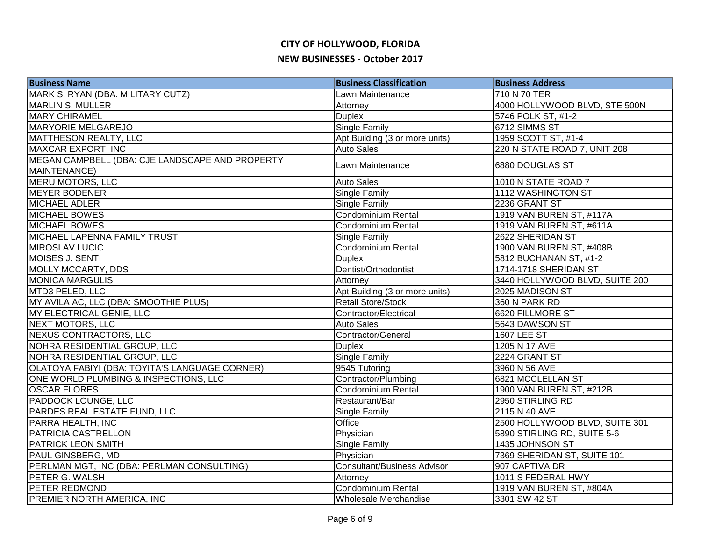| <b>Business Name</b>                            | <b>Business Classification</b>     | <b>Business Address</b>        |
|-------------------------------------------------|------------------------------------|--------------------------------|
| MARK S. RYAN (DBA: MILITARY CUTZ)               | Lawn Maintenance                   | 710 N 70 TER                   |
| <b>MARLIN S. MULLER</b>                         | Attorney                           | 4000 HOLLYWOOD BLVD, STE 500N  |
| <b>MARY CHIRAMEL</b>                            | <b>Duplex</b>                      | 5746 POLK ST, #1-2             |
| <b>MARYORIE MELGAREJO</b>                       | <b>Single Family</b>               | 6712 SIMMS ST                  |
| MATTHESON REALTY, LLC                           | Apt Building (3 or more units)     | 1959 SCOTT ST, #1-4            |
| MAXCAR EXPORT, INC                              | <b>Auto Sales</b>                  | 220 N STATE ROAD 7, UNIT 208   |
| MEGAN CAMPBELL (DBA: CJE LANDSCAPE AND PROPERTY | Lawn Maintenance                   | 6880 DOUGLAS ST                |
| MAINTENANCE)                                    |                                    |                                |
| <b>MERU MOTORS, LLC</b>                         | <b>Auto Sales</b>                  | 1010 N STATE ROAD 7            |
| <b>MEYER BODENER</b>                            | Single Family                      | 1112 WASHINGTON ST             |
| <b>MICHAEL ADLER</b>                            | Single Family                      | 2236 GRANT ST                  |
| <b>MICHAEL BOWES</b>                            | Condominium Rental                 | 1919 VAN BUREN ST, #117A       |
| <b>MICHAEL BOWES</b>                            | <b>Condominium Rental</b>          | 1919 VAN BUREN ST, #611A       |
| MICHAEL LAPENNA FAMILY TRUST                    | Single Family                      | 2622 SHERIDAN ST               |
| <b>MIROSLAV LUCIC</b>                           | Condominium Rental                 | 1900 VAN BUREN ST, #408B       |
| <b>MOISES J. SENTI</b>                          | <b>Duplex</b>                      | 5812 BUCHANAN ST, #1-2         |
| MOLLY MCCARTY, DDS                              | Dentist/Orthodontist               | 1714-1718 SHERIDAN ST          |
| <b>MONICA MARGULIS</b>                          | Attorney                           | 3440 HOLLYWOOD BLVD, SUITE 200 |
| MTD3 PELED, LLC                                 | Apt Building (3 or more units)     | 2025 MADISON ST                |
| MY AVILA AC, LLC (DBA: SMOOTHIE PLUS)           | <b>Retail Store/Stock</b>          | 360 N PARK RD                  |
| MY ELECTRICAL GENIE, LLC                        | Contractor/Electrical              | 6620 FILLMORE ST               |
| NEXT MOTORS, LLC                                | <b>Auto Sales</b>                  | 5643 DAWSON ST                 |
| <b>NEXUS CONTRACTORS, LLC</b>                   | Contractor/General                 | <b>1607 LEE ST</b>             |
| NOHRA RESIDENTIAL GROUP, LLC                    | <b>Duplex</b>                      | 1205 N 17 AVE                  |
| NOHRA RESIDENTIAL GROUP, LLC                    | <b>Single Family</b>               | 2224 GRANT ST                  |
| OLATOYA FABIYI (DBA: TOYITA'S LANGUAGE CORNER)  | 9545 Tutoring                      | 3960 N 56 AVE                  |
| ONE WORLD PLUMBING & INSPECTIONS, LLC           | Contractor/Plumbing                | 6821 MCCLELLAN ST              |
| <b>OSCAR FLORES</b>                             | <b>Condominium Rental</b>          | 1900 VAN BUREN ST, #212B       |
| <b>PADDOCK LOUNGE, LLC</b>                      | Restaurant/Bar                     | 2950 STIRLING RD               |
| PARDES REAL ESTATE FUND, LLC                    | Single Family                      | 2115 N 40 AVE                  |
| PARRA HEALTH, INC                               | Office                             | 2500 HOLLYWOOD BLVD, SUITE 301 |
| <b>PATRICIA CASTRELLON</b>                      | Physician                          | 5890 STIRLING RD, SUITE 5-6    |
| <b>PATRICK LEON SMITH</b>                       | Single Family                      | 1435 JOHNSON ST                |
| <b>PAUL GINSBERG, MD</b>                        | Physician                          | 7369 SHERIDAN ST, SUITE 101    |
| PERLMAN MGT, INC (DBA: PERLMAN CONSULTING)      | <b>Consultant/Business Advisor</b> | 907 CAPTIVA DR                 |
| PETER G. WALSH                                  | Attorney                           | 1011 S FEDERAL HWY             |
| PETER REDMOND                                   | <b>Condominium Rental</b>          | 1919 VAN BUREN ST, #804A       |
| <b>PREMIER NORTH AMERICA, INC</b>               | Wholesale Merchandise              | 3301 SW 42 ST                  |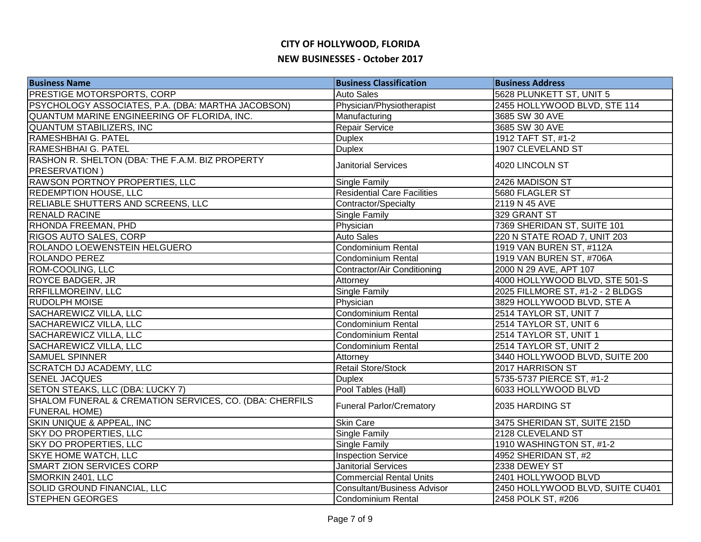| <b>Business Name</b>                                    | <b>Business Classification</b>     | <b>Business Address</b>          |
|---------------------------------------------------------|------------------------------------|----------------------------------|
| <b>PRESTIGE MOTORSPORTS, CORP</b>                       | <b>Auto Sales</b>                  | 5628 PLUNKETT ST, UNIT 5         |
| PSYCHOLOGY ASSOCIATES, P.A. (DBA: MARTHA JACOBSON)      | Physician/Physiotherapist          | 2455 HOLLYWOOD BLVD, STE 114     |
| QUANTUM MARINE ENGINEERING OF FLORIDA, INC.             | Manufacturing                      | 3685 SW 30 AVE                   |
| <b>QUANTUM STABILIZERS, INC</b>                         | Repair Service                     | 3685 SW 30 AVE                   |
| RAMESHBHAI G. PATEL                                     | <b>Duplex</b>                      | 1912 TAFT ST, #1-2               |
| RAMESHBHAI G. PATEL                                     | <b>Duplex</b>                      | 1907 CLEVELAND ST                |
| RASHON R. SHELTON (DBA: THE F.A.M. BIZ PROPERTY         | <b>Janitorial Services</b>         | 4020 LINCOLN ST                  |
| <b>PRESERVATION</b> )                                   |                                    |                                  |
| <b>RAWSON PORTNOY PROPERTIES, LLC</b>                   | Single Family                      | 2426 MADISON ST                  |
| <b>REDEMPTION HOUSE, LLC</b>                            | <b>Residential Care Facilities</b> | 5680 FLAGLER ST                  |
| RELIABLE SHUTTERS AND SCREENS, LLC                      | Contractor/Specialty               | 2119 N 45 AVE                    |
| <b>RENALD RACINE</b>                                    | Single Family                      | 329 GRANT ST                     |
| RHONDA FREEMAN, PHD                                     | Physician                          | 7369 SHERIDAN ST, SUITE 101      |
| <b>RIGOS AUTO SALES, CORP</b>                           | <b>Auto Sales</b>                  | 220 N STATE ROAD 7, UNIT 203     |
| ROLANDO LOEWENSTEIN HELGUERO                            | Condominium Rental                 | 1919 VAN BUREN ST, #112A         |
| <b>ROLANDO PEREZ</b>                                    | <b>Condominium Rental</b>          | 1919 VAN BUREN ST, #706A         |
| ROM-COOLING, LLC                                        | Contractor/Air Conditioning        | 2000 N 29 AVE, APT 107           |
| <b>ROYCE BADGER, JR</b>                                 | Attorney                           | 4000 HOLLYWOOD BLVD, STE 501-S   |
| <b>RRFILLMOREINV, LLC</b>                               | <b>Single Family</b>               | 2025 FILLMORE ST, #1-2 - 2 BLDGS |
| <b>RUDOLPH MOISE</b>                                    | Physician                          | 3829 HOLLYWOOD BLVD, STE A       |
| <b>SACHAREWICZ VILLA, LLC</b>                           | <b>Condominium Rental</b>          | 2514 TAYLOR ST, UNIT 7           |
| <b>SACHAREWICZ VILLA, LLC</b>                           | <b>Condominium Rental</b>          | 2514 TAYLOR ST, UNIT 6           |
| <b>SACHAREWICZ VILLA, LLC</b>                           | Condominium Rental                 | 2514 TAYLOR ST, UNIT 1           |
| <b>SACHAREWICZ VILLA, LLC</b>                           | Condominium Rental                 | 2514 TAYLOR ST, UNIT 2           |
| <b>SAMUEL SPINNER</b>                                   | Attorney                           | 3440 HOLLYWOOD BLVD, SUITE 200   |
| <b>SCRATCH DJ ACADEMY, LLC</b>                          | <b>Retail Store/Stock</b>          | 2017 HARRISON ST                 |
| <b>SENEL JACQUES</b>                                    | <b>Duplex</b>                      | 5735-5737 PIERCE ST, #1-2        |
| SETON STEAKS, LLC (DBA: LUCKY 7)                        | Pool Tables (Hall)                 | 6033 HOLLYWOOD BLVD              |
| SHALOM FUNERAL & CREMATION SERVICES, CO. (DBA: CHERFILS | <b>Funeral Parlor/Crematory</b>    | 2035 HARDING ST                  |
| <b>FUNERAL HOME)</b>                                    |                                    |                                  |
| SKIN UNIQUE & APPEAL, INC                               | <b>Skin Care</b>                   | 3475 SHERIDAN ST, SUITE 215D     |
| SKY DO PROPERTIES, LLC                                  | Single Family                      | 2128 CLEVELAND ST                |
| <b>SKY DO PROPERTIES, LLC</b>                           | Single Family                      | 1910 WASHINGTON ST, #1-2         |
| <b>SKYE HOME WATCH, LLC</b>                             | <b>Inspection Service</b>          | 4952 SHERIDAN ST, #2             |
| SMART ZION SERVICES CORP                                | <b>Janitorial Services</b>         | 2338 DEWEY ST                    |
| SMORKIN 2401, LLC                                       | <b>Commercial Rental Units</b>     | 2401 HOLLYWOOD BLVD              |
| SOLID GROUND FINANCIAL, LLC                             | <b>Consultant/Business Advisor</b> | 2450 HOLLYWOOD BLVD, SUITE CU401 |
| <b>STEPHEN GEORGES</b>                                  | Condominium Rental                 | 2458 POLK ST, #206               |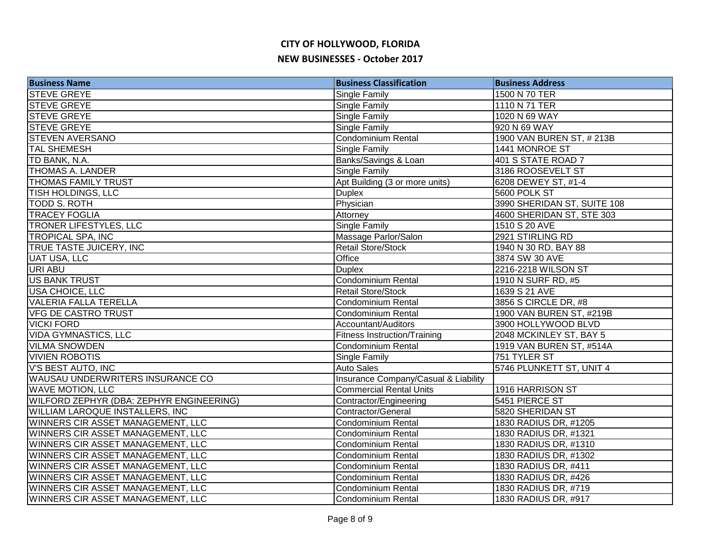| <b>Business Name</b>                     | <b>Business Classification</b>       | <b>Business Address</b>     |
|------------------------------------------|--------------------------------------|-----------------------------|
| <b>STEVE GREYE</b>                       | Single Family                        | 1500 N 70 TER               |
| <b>STEVE GREYE</b>                       | Single Family                        | 1110 N 71 TER               |
| <b>STEVE GREYE</b>                       | Single Family                        | 1020 N 69 WAY               |
| <b>STEVE GREYE</b>                       | Single Family                        | 920 N 69 WAY                |
| <b>STEVEN AVERSANO</b>                   | <b>Condominium Rental</b>            | 1900 VAN BUREN ST, #213B    |
| <b>TAL SHEMESH</b>                       | <b>Single Family</b>                 | 1441 MONROE ST              |
| TD BANK, N.A.                            | Banks/Savings & Loan                 | 401 S STATE ROAD 7          |
| <b>THOMAS A. LANDER</b>                  | Single Family                        | 3186 ROOSEVELT ST           |
| <b>THOMAS FAMILY TRUST</b>               | Apt Building (3 or more units)       | 6208 DEWEY ST, #1-4         |
| <b>TISH HOLDINGS, LLC</b>                | <b>Duplex</b>                        | 5600 POLK ST                |
| <b>TODD S. ROTH</b>                      | Physician                            | 3990 SHERIDAN ST, SUITE 108 |
| <b>TRACEY FOGLIA</b>                     | Attorney                             | 4600 SHERIDAN ST, STE 303   |
| <b>TRONER LIFESTYLES, LLC</b>            | Single Family                        | 1510 S 20 AVE               |
| <b>TROPICAL SPA, INC</b>                 | Massage Parlor/Salon                 | 2921 STIRLING RD            |
| TRUE TASTE JUICERY, INC                  | Retail Store/Stock                   | 1940 N 30 RD, BAY 88        |
| UAT USA, LLC                             | Office                               | 3874 SW 30 AVE              |
| URI ABU                                  | <b>Duplex</b>                        | 2216-2218 WILSON ST         |
| <b>US BANK TRUST</b>                     | <b>Condominium Rental</b>            | 1910 N SURF RD, #5          |
| USA CHOICE, LLC                          | Retail Store/Stock                   | 1639 S 21 AVE               |
| <b>VALERIA FALLA TERELLA</b>             | <b>Condominium Rental</b>            | 3856 S CIRCLE DR, #8        |
| <b>VFG DE CASTRO TRUST</b>               | <b>Condominium Rental</b>            | 1900 VAN BUREN ST, #219B    |
| <b>VICKI FORD</b>                        | Accountant/Auditors                  | 3900 HOLLYWOOD BLVD         |
| <b>VIDA GYMNASTICS, LLC</b>              | <b>Fitness Instruction/Training</b>  | 2048 MCKINLEY ST, BAY 5     |
| <b>VILMA SNOWDEN</b>                     | Condominium Rental                   | 1919 VAN BUREN ST, #514A    |
| <b>VIVIEN ROBOTIS</b>                    | Single Family                        | 751 TYLER ST                |
| <b>V'S BEST AUTO, INC</b>                | <b>Auto Sales</b>                    | 5746 PLUNKETT ST, UNIT 4    |
| WAUSAU UNDERWRITERS INSURANCE CO         | Insurance Company/Casual & Liability |                             |
| <b>WAVE MOTION, LLC</b>                  | <b>Commercial Rental Units</b>       | 1916 HARRISON ST            |
| WILFORD ZEPHYR (DBA: ZEPHYR ENGINEERING) | Contractor/Engineering               | 5451 PIERCE ST              |
| <b>WILLIAM LAROQUE INSTALLERS, INC</b>   | Contractor/General                   | 5820 SHERIDAN ST            |
| WINNERS CIR ASSET MANAGEMENT, LLC        | Condominium Rental                   | 1830 RADIUS DR, #1205       |
| WINNERS CIR ASSET MANAGEMENT, LLC        | <b>Condominium Rental</b>            | 1830 RADIUS DR, #1321       |
| WINNERS CIR ASSET MANAGEMENT, LLC        | Condominium Rental                   | 1830 RADIUS DR, #1310       |
| WINNERS CIR ASSET MANAGEMENT, LLC        | <b>Condominium Rental</b>            | 1830 RADIUS DR, #1302       |
| WINNERS CIR ASSET MANAGEMENT, LLC        | <b>Condominium Rental</b>            | 1830 RADIUS DR, #411        |
| WINNERS CIR ASSET MANAGEMENT, LLC        | Condominium Rental                   | 1830 RADIUS DR, #426        |
| WINNERS CIR ASSET MANAGEMENT, LLC        | Condominium Rental                   | 1830 RADIUS DR, #719        |
| WINNERS CIR ASSET MANAGEMENT, LLC        | <b>Condominium Rental</b>            | 1830 RADIUS DR, #917        |